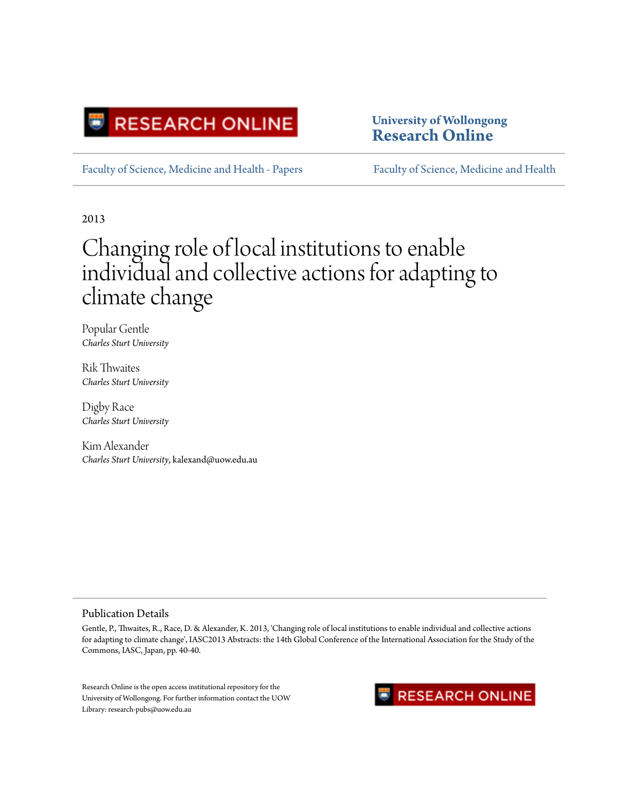

**University of Wollongong [Research Online](http://ro.uow.edu.au)**

[Faculty of Science, Medicine and Health - Papers](http://ro.uow.edu.au/smhpapers) [Faculty of Science, Medicine and Health](http://ro.uow.edu.au/smh)

2013

# Changing role of local institutions to enable individual and collective actions for adapting to climate change

Popular Gentle *Charles Sturt University*

Rik Thwaites *Charles Sturt University*

Digby Race *Charles Sturt University*

Kim Alexander *Charles Sturt University*, kalexand@uow.edu.au

#### Publication Details

Gentle, P., Thwaites, R., Race, D. & Alexander, K. 2013, 'Changing role of local institutions to enable individual and collective actions for adapting to climate change', IASC2013 Abstracts: the 14th Global Conference of the International Association for the Study of the Commons, IASC, Japan, pp. 40-40.

Research Online is the open access institutional repository for the University of Wollongong. For further information contact the UOW Library: research-pubs@uow.edu.au

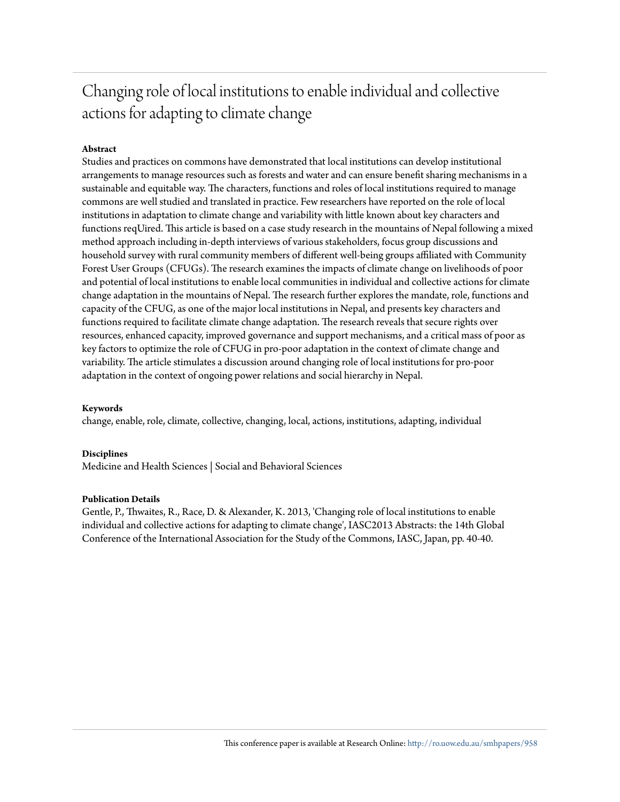## Changing role of local institutions to enable individual and collective actions for adapting to climate change

#### **Abstract**

Studies and practices on commons have demonstrated that local institutions can develop institutional arrangements to manage resources such as forests and water and can ensure benefit sharing mechanisms in a sustainable and equitable way. The characters, functions and roles of local institutions required to manage commons are well studied and translated in practice. Few researchers have reported on the role of local institutions in adaptation to climate change and variability with little known about key characters and functions reqUired. This article is based on a case study research in the mountains of Nepal following a mixed method approach including in-depth interviews of various stakeholders, focus group discussions and household survey with rural community members of different well-being groups affiliated with Community Forest User Groups (CFUGs). The research examines the impacts of climate change on livelihoods of poor and potential of local institutions to enable local communities in individual and collective actions for climate change adaptation in the mountains of Nepal. The research further explores the mandate, role, functions and capacity of the CFUG, as one of the major local institutions in Nepal, and presents key characters and functions required to facilitate climate change adaptation. The research reveals that secure rights over resources, enhanced capacity, improved governance and support mechanisms, and a critical mass of poor as key factors to optimize the role of CFUG in pro-poor adaptation in the context of climate change and variability. The article stimulates a discussion around changing role of local institutions for pro-poor adaptation in the context of ongoing power relations and social hierarchy in Nepal.

#### **Keywords**

change, enable, role, climate, collective, changing, local, actions, institutions, adapting, individual

#### **Disciplines**

Medicine and Health Sciences | Social and Behavioral Sciences

#### **Publication Details**

Gentle, P., Thwaites, R., Race, D. & Alexander, K. 2013, 'Changing role of local institutions to enable individual and collective actions for adapting to climate change', IASC2013 Abstracts: the 14th Global Conference of the International Association for the Study of the Commons, IASC, Japan, pp. 40-40.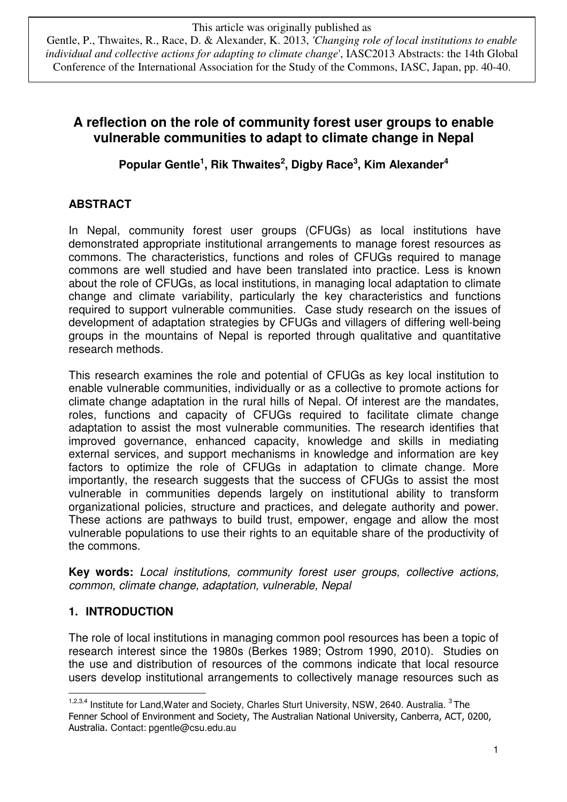Gentle, P., Thwaites, R., Race, D. & Alexander, K. 2013, *'Changing role of local institutions to enable individual and collective actions for adapting to climate change*', IASC2013 Abstracts: the 14th Global Conference of the International Association for the Study of the Commons, IASC, Japan, pp. 40-40.

## **A reflection on the role of community forest user groups to enable vulnerable communities to adapt to climate change in Nepal**

**Popular Gentle<sup>1</sup> , Rik Thwaites<sup>2</sup> , Digby Race<sup>3</sup> , Kim Alexander<sup>4</sup>**

## **ABSTRACT**

In Nepal, community forest user groups (CFUGs) as local institutions have demonstrated appropriate institutional arrangements to manage forest resources as commons. The characteristics, functions and roles of CFUGs required to manage commons are well studied and have been translated into practice. Less is known about the role of CFUGs, as local institutions, in managing local adaptation to climate change and climate variability, particularly the key characteristics and functions required to support vulnerable communities. Case study research on the issues of development of adaptation strategies by CFUGs and villagers of differing well-being groups in the mountains of Nepal is reported through qualitative and quantitative research methods.

This research examines the role and potential of CFUGs as key local institution to enable vulnerable communities, individually or as a collective to promote actions for climate change adaptation in the rural hills of Nepal. Of interest are the mandates, roles, functions and capacity of CFUGs required to facilitate climate change adaptation to assist the most vulnerable communities. The research identifies that improved governance, enhanced capacity, knowledge and skills in mediating external services, and support mechanisms in knowledge and information are key factors to optimize the role of CFUGs in adaptation to climate change. More importantly, the research suggests that the success of CFUGs to assist the most vulnerable in communities depends largely on institutional ability to transform organizational policies, structure and practices, and delegate authority and power. These actions are pathways to build trust, empower, engage and allow the most vulnerable populations to use their rights to an equitable share of the productivity of the commons.

**Key words:** Local institutions, community forest user groups, collective actions, common, climate change, adaptation, vulnerable, Nepal

## **1. INTRODUCTION**

The role of local institutions in managing common pool resources has been a topic of research interest since the 1980s (Berkes 1989; Ostrom 1990, 2010). Studies on the use and distribution of resources of the commons indicate that local resource users develop institutional arrangements to collectively manage resources such as

 $\overline{a}$ <sup>1,2,3,4</sup> Institute for Land, Water and Society, Charles Sturt University, NSW, 2640. Australia. <sup>3</sup>The Fenner School of Environment and Society, The Australian National University, Canberra, ACT, 0200, Australia. Contact: pgentle@csu.edu.au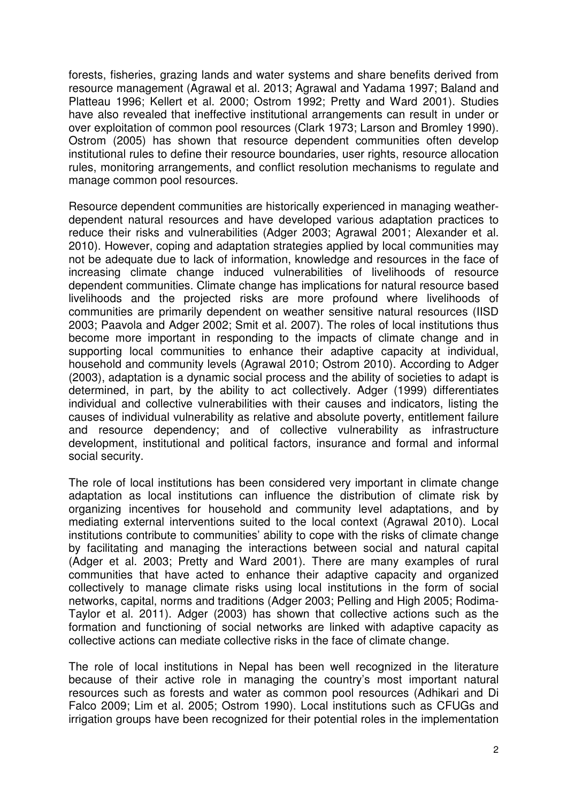forests, fisheries, grazing lands and water systems and share benefits derived from resource management (Agrawal et al. 2013; Agrawal and Yadama 1997; Baland and Platteau 1996; Kellert et al. 2000; Ostrom 1992; Pretty and Ward 2001). Studies have also revealed that ineffective institutional arrangements can result in under or over exploitation of common pool resources (Clark 1973; Larson and Bromley 1990). Ostrom (2005) has shown that resource dependent communities often develop institutional rules to define their resource boundaries, user rights, resource allocation rules, monitoring arrangements, and conflict resolution mechanisms to regulate and manage common pool resources.

Resource dependent communities are historically experienced in managing weatherdependent natural resources and have developed various adaptation practices to reduce their risks and vulnerabilities (Adger 2003; Agrawal 2001; Alexander et al. 2010). However, coping and adaptation strategies applied by local communities may not be adequate due to lack of information, knowledge and resources in the face of increasing climate change induced vulnerabilities of livelihoods of resource dependent communities. Climate change has implications for natural resource based livelihoods and the projected risks are more profound where livelihoods of communities are primarily dependent on weather sensitive natural resources (IISD 2003; Paavola and Adger 2002; Smit et al. 2007). The roles of local institutions thus become more important in responding to the impacts of climate change and in supporting local communities to enhance their adaptive capacity at individual, household and community levels (Agrawal 2010; Ostrom 2010). According to Adger (2003), adaptation is a dynamic social process and the ability of societies to adapt is determined, in part, by the ability to act collectively. Adger (1999) differentiates individual and collective vulnerabilities with their causes and indicators, listing the causes of individual vulnerability as relative and absolute poverty, entitlement failure and resource dependency; and of collective vulnerability as infrastructure development, institutional and political factors, insurance and formal and informal social security.

The role of local institutions has been considered very important in climate change adaptation as local institutions can influence the distribution of climate risk by organizing incentives for household and community level adaptations, and by mediating external interventions suited to the local context (Agrawal 2010). Local institutions contribute to communities' ability to cope with the risks of climate change by facilitating and managing the interactions between social and natural capital (Adger et al. 2003; Pretty and Ward 2001). There are many examples of rural communities that have acted to enhance their adaptive capacity and organized collectively to manage climate risks using local institutions in the form of social networks, capital, norms and traditions (Adger 2003; Pelling and High 2005; Rodima-Taylor et al. 2011). Adger (2003) has shown that collective actions such as the formation and functioning of social networks are linked with adaptive capacity as collective actions can mediate collective risks in the face of climate change.

The role of local institutions in Nepal has been well recognized in the literature because of their active role in managing the country's most important natural resources such as forests and water as common pool resources (Adhikari and Di Falco 2009; Lim et al. 2005; Ostrom 1990). Local institutions such as CFUGs and irrigation groups have been recognized for their potential roles in the implementation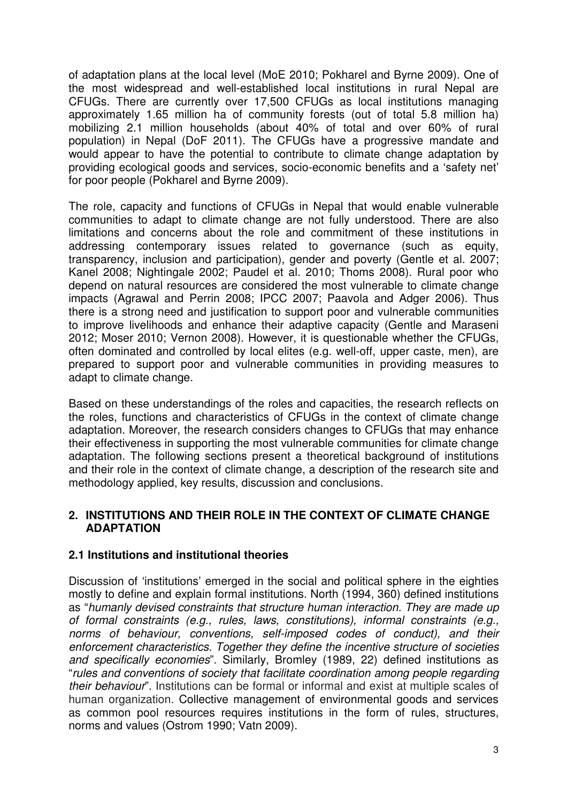of adaptation plans at the local level (MoE 2010; Pokharel and Byrne 2009). One of the most widespread and well-established local institutions in rural Nepal are CFUGs. There are currently over 17,500 CFUGs as local institutions managing approximately 1.65 million ha of community forests (out of total 5.8 million ha) mobilizing 2.1 million households (about 40% of total and over 60% of rural population) in Nepal (DoF 2011). The CFUGs have a progressive mandate and would appear to have the potential to contribute to climate change adaptation by providing ecological goods and services, socio-economic benefits and a 'safety net' for poor people (Pokharel and Byrne 2009).

The role, capacity and functions of CFUGs in Nepal that would enable vulnerable communities to adapt to climate change are not fully understood. There are also limitations and concerns about the role and commitment of these institutions in addressing contemporary issues related to governance (such as equity, transparency, inclusion and participation), gender and poverty (Gentle et al. 2007; Kanel 2008; Nightingale 2002; Paudel et al. 2010; Thoms 2008). Rural poor who depend on natural resources are considered the most vulnerable to climate change impacts (Agrawal and Perrin 2008; IPCC 2007; Paavola and Adger 2006). Thus there is a strong need and justification to support poor and vulnerable communities to improve livelihoods and enhance their adaptive capacity (Gentle and Maraseni 2012; Moser 2010; Vernon 2008). However, it is questionable whether the CFUGs, often dominated and controlled by local elites (e.g. well-off, upper caste, men), are prepared to support poor and vulnerable communities in providing measures to adapt to climate change.

Based on these understandings of the roles and capacities, the research reflects on the roles, functions and characteristics of CFUGs in the context of climate change adaptation. Moreover, the research considers changes to CFUGs that may enhance their effectiveness in supporting the most vulnerable communities for climate change adaptation. The following sections present a theoretical background of institutions and their role in the context of climate change, a description of the research site and methodology applied, key results, discussion and conclusions.

#### **2. INSTITUTIONS AND THEIR ROLE IN THE CONTEXT OF CLIMATE CHANGE ADAPTATION**

#### **2.1 Institutions and institutional theories**

Discussion of 'institutions' emerged in the social and political sphere in the eighties mostly to define and explain formal institutions. North (1994, 360) defined institutions as "humanly devised constraints that structure human interaction. They are made up of formal constraints (e.g., rules, laws, constitutions), informal constraints (e.g., norms of behaviour, conventions, self-imposed codes of conduct), and their enforcement characteristics. Together they define the incentive structure of societies and specifically economies". Similarly, Bromley (1989, 22) defined institutions as "rules and conventions of society that facilitate coordination among people regarding their behaviour". Institutions can be formal or informal and exist at multiple scales of human organization. Collective management of environmental goods and services as common pool resources requires institutions in the form of rules, structures, norms and values (Ostrom 1990; Vatn 2009).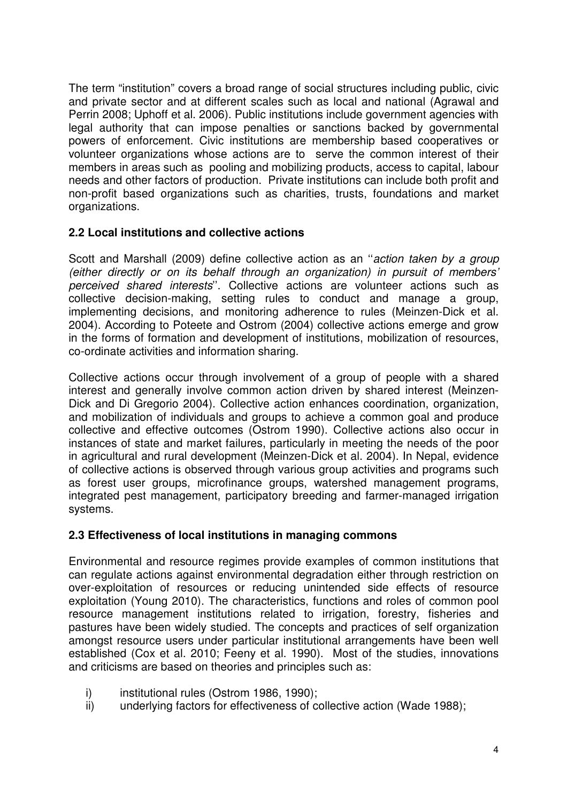The term "institution" covers a broad range of social structures including public, civic and private sector and at different scales such as local and national (Agrawal and Perrin 2008; Uphoff et al. 2006). Public institutions include government agencies with legal authority that can impose penalties or sanctions backed by governmental powers of enforcement. Civic institutions are membership based cooperatives or volunteer organizations whose actions are to serve the common interest of their members in areas such as pooling and mobilizing products, access to capital, labour needs and other factors of production. Private institutions can include both profit and non-profit based organizations such as charities, trusts, foundations and market organizations.

#### **2.2 Local institutions and collective actions**

Scott and Marshall (2009) define collective action as an "action taken by a group (either directly or on its behalf through an organization) in pursuit of members' perceived shared interests''. Collective actions are volunteer actions such as collective decision-making, setting rules to conduct and manage a group, implementing decisions, and monitoring adherence to rules (Meinzen-Dick et al. 2004). According to Poteete and Ostrom (2004) collective actions emerge and grow in the forms of formation and development of institutions, mobilization of resources, co-ordinate activities and information sharing.

Collective actions occur through involvement of a group of people with a shared interest and generally involve common action driven by shared interest (Meinzen-Dick and Di Gregorio 2004). Collective action enhances coordination, organization, and mobilization of individuals and groups to achieve a common goal and produce collective and effective outcomes (Ostrom 1990). Collective actions also occur in instances of state and market failures, particularly in meeting the needs of the poor in agricultural and rural development (Meinzen-Dick et al. 2004). In Nepal, evidence of collective actions is observed through various group activities and programs such as forest user groups, microfinance groups, watershed management programs, integrated pest management, participatory breeding and farmer-managed irrigation systems.

#### **2.3 Effectiveness of local institutions in managing commons**

Environmental and resource regimes provide examples of common institutions that can regulate actions against environmental degradation either through restriction on over-exploitation of resources or reducing unintended side effects of resource exploitation (Young 2010). The characteristics, functions and roles of common pool resource management institutions related to irrigation, forestry, fisheries and pastures have been widely studied. The concepts and practices of self organization amongst resource users under particular institutional arrangements have been well established (Cox et al. 2010; Feeny et al. 1990). Most of the studies, innovations and criticisms are based on theories and principles such as:

- i) institutional rules (Ostrom 1986, 1990);
- ii) underlying factors for effectiveness of collective action (Wade 1988);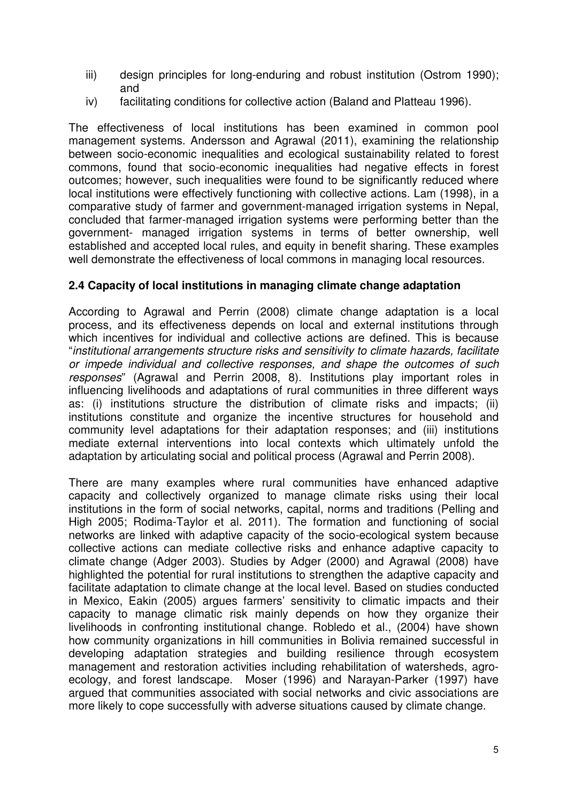- iii) design principles for long-enduring and robust institution (Ostrom 1990); and
- iv) facilitating conditions for collective action (Baland and Platteau 1996).

The effectiveness of local institutions has been examined in common pool management systems. Andersson and Agrawal (2011), examining the relationship between socio-economic inequalities and ecological sustainability related to forest commons, found that socio-economic inequalities had negative effects in forest outcomes; however, such inequalities were found to be significantly reduced where local institutions were effectively functioning with collective actions. Lam (1998), in a comparative study of farmer and government-managed irrigation systems in Nepal, concluded that farmer-managed irrigation systems were performing better than the government- managed irrigation systems in terms of better ownership, well established and accepted local rules, and equity in benefit sharing. These examples well demonstrate the effectiveness of local commons in managing local resources.

#### **2.4 Capacity of local institutions in managing climate change adaptation**

According to Agrawal and Perrin (2008) climate change adaptation is a local process, and its effectiveness depends on local and external institutions through which incentives for individual and collective actions are defined. This is because "institutional arrangements structure risks and sensitivity to climate hazards, facilitate or impede individual and collective responses, and shape the outcomes of such responses" (Agrawal and Perrin 2008, 8). Institutions play important roles in influencing livelihoods and adaptations of rural communities in three different ways as: (i) institutions structure the distribution of climate risks and impacts; (ii) institutions constitute and organize the incentive structures for household and community level adaptations for their adaptation responses; and (iii) institutions mediate external interventions into local contexts which ultimately unfold the adaptation by articulating social and political process (Agrawal and Perrin 2008).

There are many examples where rural communities have enhanced adaptive capacity and collectively organized to manage climate risks using their local institutions in the form of social networks, capital, norms and traditions (Pelling and High 2005; Rodima-Taylor et al. 2011). The formation and functioning of social networks are linked with adaptive capacity of the socio-ecological system because collective actions can mediate collective risks and enhance adaptive capacity to climate change (Adger 2003). Studies by Adger (2000) and Agrawal (2008) have highlighted the potential for rural institutions to strengthen the adaptive capacity and facilitate adaptation to climate change at the local level. Based on studies conducted in Mexico, Eakin (2005) argues farmers' sensitivity to climatic impacts and their capacity to manage climatic risk mainly depends on how they organize their livelihoods in confronting institutional change. Robledo et al., (2004) have shown how community organizations in hill communities in Bolivia remained successful in developing adaptation strategies and building resilience through ecosystem management and restoration activities including rehabilitation of watersheds, agroecology, and forest landscape. Moser (1996) and Narayan-Parker (1997) have argued that communities associated with social networks and civic associations are more likely to cope successfully with adverse situations caused by climate change.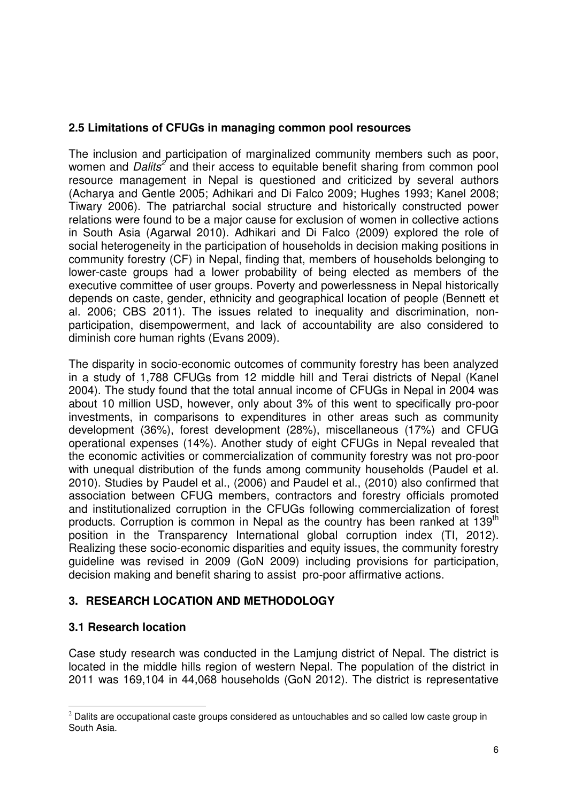### **2.5 Limitations of CFUGs in managing common pool resources**

The inclusion and participation of marginalized community members such as poor, women and *Dalits<sup>2</sup>* and their access to equitable benefit sharing from common pool resource management in Nepal is questioned and criticized by several authors (Acharya and Gentle 2005; Adhikari and Di Falco 2009; Hughes 1993; Kanel 2008; Tiwary 2006). The patriarchal social structure and historically constructed power relations were found to be a major cause for exclusion of women in collective actions in South Asia (Agarwal 2010). Adhikari and Di Falco (2009) explored the role of social heterogeneity in the participation of households in decision making positions in community forestry (CF) in Nepal, finding that, members of households belonging to lower-caste groups had a lower probability of being elected as members of the executive committee of user groups. Poverty and powerlessness in Nepal historically depends on caste, gender, ethnicity and geographical location of people (Bennett et al. 2006; CBS 2011). The issues related to inequality and discrimination, nonparticipation, disempowerment, and lack of accountability are also considered to diminish core human rights (Evans 2009).

The disparity in socio-economic outcomes of community forestry has been analyzed in a study of 1,788 CFUGs from 12 middle hill and Terai districts of Nepal (Kanel 2004). The study found that the total annual income of CFUGs in Nepal in 2004 was about 10 million USD, however, only about 3% of this went to specifically pro-poor investments, in comparisons to expenditures in other areas such as community development (36%), forest development (28%), miscellaneous (17%) and CFUG operational expenses (14%). Another study of eight CFUGs in Nepal revealed that the economic activities or commercialization of community forestry was not pro-poor with unequal distribution of the funds among community households (Paudel et al. 2010). Studies by Paudel et al., (2006) and Paudel et al., (2010) also confirmed that association between CFUG members, contractors and forestry officials promoted and institutionalized corruption in the CFUGs following commercialization of forest products. Corruption is common in Nepal as the country has been ranked at 139<sup>th</sup> position in the Transparency International global corruption index (TI, 2012). Realizing these socio-economic disparities and equity issues, the community forestry guideline was revised in 2009 (GoN 2009) including provisions for participation, decision making and benefit sharing to assist pro-poor affirmative actions.

#### **3. RESEARCH LOCATION AND METHODOLOGY**

#### **3.1 Research location**

Case study research was conducted in the Lamjung district of Nepal. The district is located in the middle hills region of western Nepal. The population of the district in 2011 was 169,104 in 44,068 households (GoN 2012). The district is representative

 $\overline{a}$  $2$  Dalits are occupational caste groups considered as untouchables and so called low caste group in South Asia.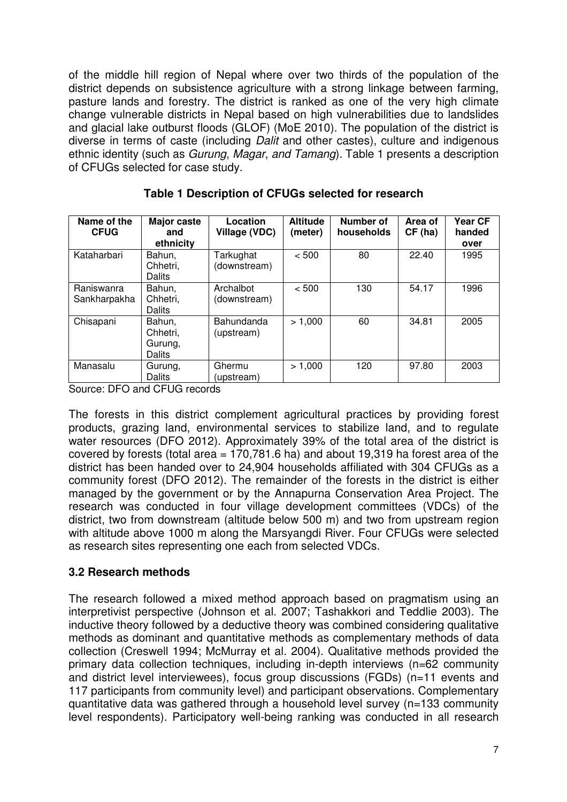of the middle hill region of Nepal where over two thirds of the population of the district depends on subsistence agriculture with a strong linkage between farming, pasture lands and forestry. The district is ranked as one of the very high climate change vulnerable districts in Nepal based on high vulnerabilities due to landslides and glacial lake outburst floods (GLOF) (MoE 2010). The population of the district is diverse in terms of caste (including *Dalit* and other castes), culture and indigenous ethnic identity (such as Gurung, Magar, and Tamang). Table 1 presents a description of CFUGs selected for case study.

| Name of the<br><b>CFUG</b> | Major caste<br>and<br>ethnicity         | Location<br>Village (VDC) | <b>Altitude</b><br>(meter) | Number of<br>households | Area of<br>CF(ha) | Year CF<br>handed<br>over |
|----------------------------|-----------------------------------------|---------------------------|----------------------------|-------------------------|-------------------|---------------------------|
| Kataharbari                | Bahun,<br>Chhetri,<br>Dalits            | Tarkughat<br>(downstream) | < 500                      | 80                      | 22.40             | 1995                      |
| Raniswanra<br>Sankharpakha | Bahun,<br>Chhetri,<br>Dalits            | Archalbot<br>(downstream) | < 500                      | 130                     | 54.17             | 1996                      |
| Chisapani                  | Bahun,<br>Chhetri,<br>Gurung,<br>Dalits | Bahundanda<br>(upstream)  | > 1,000                    | 60                      | 34.81             | 2005                      |
| Manasalu                   | Gurung,<br>Dalits                       | Ghermu<br>(upstream)      | > 1,000                    | 120                     | 97.80             | 2003                      |

#### **Table 1 Description of CFUGs selected for research**

Source: DFO and CFUG records

The forests in this district complement agricultural practices by providing forest products, grazing land, environmental services to stabilize land, and to regulate water resources (DFO 2012). Approximately 39% of the total area of the district is covered by forests (total area  $= 170.781.6$  ha) and about 19.319 ha forest area of the district has been handed over to 24,904 households affiliated with 304 CFUGs as a community forest (DFO 2012). The remainder of the forests in the district is either managed by the government or by the Annapurna Conservation Area Project. The research was conducted in four village development committees (VDCs) of the district, two from downstream (altitude below 500 m) and two from upstream region with altitude above 1000 m along the Marsyangdi River. Four CFUGs were selected as research sites representing one each from selected VDCs.

#### **3.2 Research methods**

The research followed a mixed method approach based on pragmatism using an interpretivist perspective (Johnson et al. 2007; Tashakkori and Teddlie 2003). The inductive theory followed by a deductive theory was combined considering qualitative methods as dominant and quantitative methods as complementary methods of data collection (Creswell 1994; McMurray et al. 2004). Qualitative methods provided the primary data collection techniques, including in-depth interviews (n=62 community and district level interviewees), focus group discussions (FGDs) (n=11 events and 117 participants from community level) and participant observations. Complementary quantitative data was gathered through a household level survey (n=133 community level respondents). Participatory well-being ranking was conducted in all research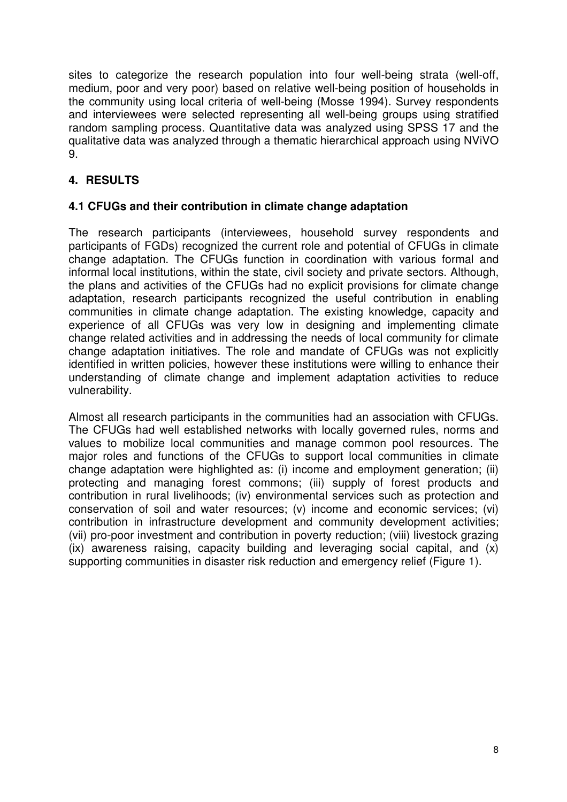sites to categorize the research population into four well-being strata (well-off, medium, poor and very poor) based on relative well-being position of households in the community using local criteria of well-being (Mosse 1994). Survey respondents and interviewees were selected representing all well-being groups using stratified random sampling process. Quantitative data was analyzed using SPSS 17 and the qualitative data was analyzed through a thematic hierarchical approach using NViVO 9.

## **4. RESULTS**

#### **4.1 CFUGs and their contribution in climate change adaptation**

The research participants (interviewees, household survey respondents and participants of FGDs) recognized the current role and potential of CFUGs in climate change adaptation. The CFUGs function in coordination with various formal and informal local institutions, within the state, civil society and private sectors. Although, the plans and activities of the CFUGs had no explicit provisions for climate change adaptation, research participants recognized the useful contribution in enabling communities in climate change adaptation. The existing knowledge, capacity and experience of all CFUGs was very low in designing and implementing climate change related activities and in addressing the needs of local community for climate change adaptation initiatives. The role and mandate of CFUGs was not explicitly identified in written policies, however these institutions were willing to enhance their understanding of climate change and implement adaptation activities to reduce vulnerability.

Almost all research participants in the communities had an association with CFUGs. The CFUGs had well established networks with locally governed rules, norms and values to mobilize local communities and manage common pool resources. The major roles and functions of the CFUGs to support local communities in climate change adaptation were highlighted as: (i) income and employment generation; (ii) protecting and managing forest commons; (iii) supply of forest products and contribution in rural livelihoods; (iv) environmental services such as protection and conservation of soil and water resources; (v) income and economic services; (vi) contribution in infrastructure development and community development activities; (vii) pro-poor investment and contribution in poverty reduction; (viii) livestock grazing (ix) awareness raising, capacity building and leveraging social capital, and (x) supporting communities in disaster risk reduction and emergency relief (Figure 1).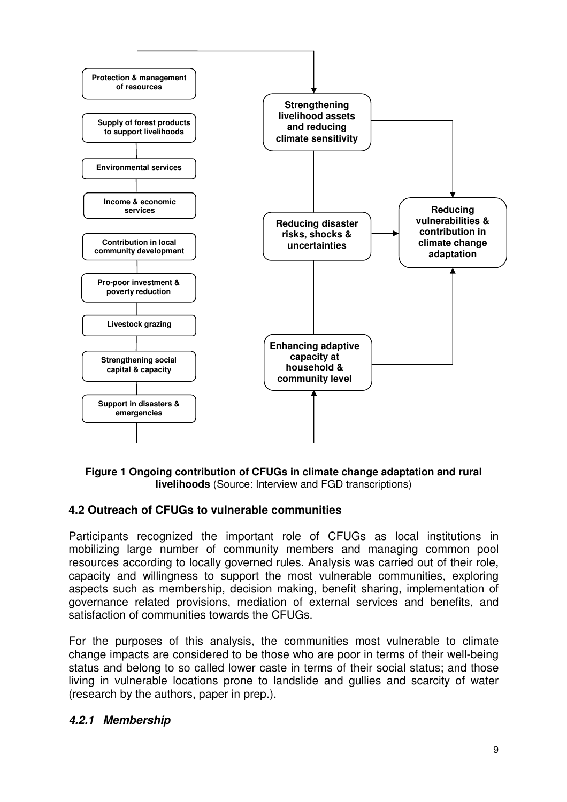

**Figure 1 Ongoing contribution of CFUGs in climate change adaptation and rural livelihoods** (Source: Interview and FGD transcriptions)

#### **4.2 Outreach of CFUGs to vulnerable communities**

Participants recognized the important role of CFUGs as local institutions in mobilizing large number of community members and managing common pool resources according to locally governed rules. Analysis was carried out of their role, capacity and willingness to support the most vulnerable communities, exploring aspects such as membership, decision making, benefit sharing, implementation of governance related provisions, mediation of external services and benefits, and satisfaction of communities towards the CFUGs.

For the purposes of this analysis, the communities most vulnerable to climate change impacts are considered to be those who are poor in terms of their well-being status and belong to so called lower caste in terms of their social status; and those living in vulnerable locations prone to landslide and gullies and scarcity of water (research by the authors, paper in prep.).

#### **4.2.1 Membership**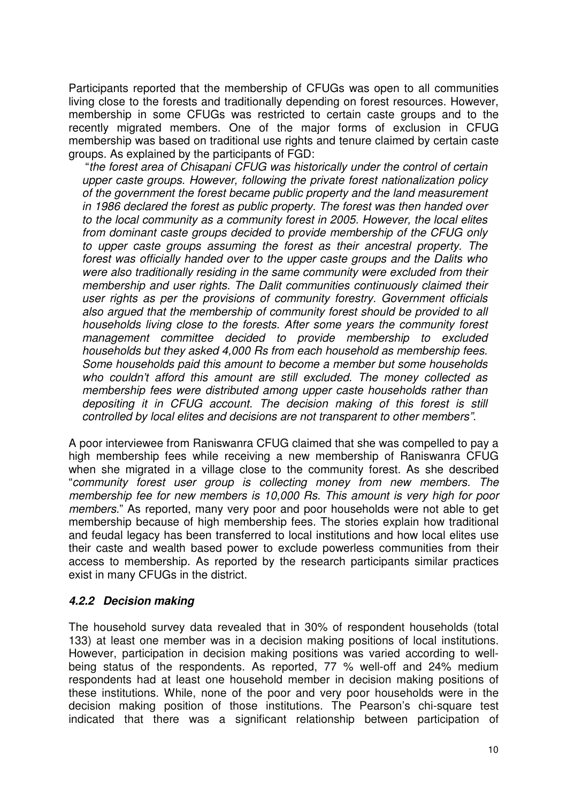Participants reported that the membership of CFUGs was open to all communities living close to the forests and traditionally depending on forest resources. However, membership in some CFUGs was restricted to certain caste groups and to the recently migrated members. One of the major forms of exclusion in CFUG membership was based on traditional use rights and tenure claimed by certain caste groups. As explained by the participants of FGD:

 "the forest area of Chisapani CFUG was historically under the control of certain upper caste groups. However, following the private forest nationalization policy of the government the forest became public property and the land measurement in 1986 declared the forest as public property. The forest was then handed over to the local community as a community forest in 2005. However, the local elites from dominant caste groups decided to provide membership of the CFUG only to upper caste groups assuming the forest as their ancestral property. The forest was officially handed over to the upper caste groups and the Dalits who were also traditionally residing in the same community were excluded from their membership and user rights. The Dalit communities continuously claimed their user rights as per the provisions of community forestry. Government officials also argued that the membership of community forest should be provided to all households living close to the forests. After some years the community forest management committee decided to provide membership to excluded households but they asked 4,000 Rs from each household as membership fees. Some households paid this amount to become a member but some households who couldn't afford this amount are still excluded. The money collected as membership fees were distributed among upper caste households rather than depositing it in CFUG account. The decision making of this forest is still controlled by local elites and decisions are not transparent to other members".

A poor interviewee from Raniswanra CFUG claimed that she was compelled to pay a high membership fees while receiving a new membership of Raniswanra CFUG when she migrated in a village close to the community forest. As she described "community forest user group is collecting money from new members. The membership fee for new members is 10,000 Rs. This amount is very high for poor members." As reported, many very poor and poor households were not able to get membership because of high membership fees. The stories explain how traditional and feudal legacy has been transferred to local institutions and how local elites use their caste and wealth based power to exclude powerless communities from their access to membership. As reported by the research participants similar practices exist in many CFUGs in the district.

#### **4.2.2 Decision making**

The household survey data revealed that in 30% of respondent households (total 133) at least one member was in a decision making positions of local institutions. However, participation in decision making positions was varied according to wellbeing status of the respondents. As reported, 77 % well-off and 24% medium respondents had at least one household member in decision making positions of these institutions. While, none of the poor and very poor households were in the decision making position of those institutions. The Pearson's chi-square test indicated that there was a significant relationship between participation of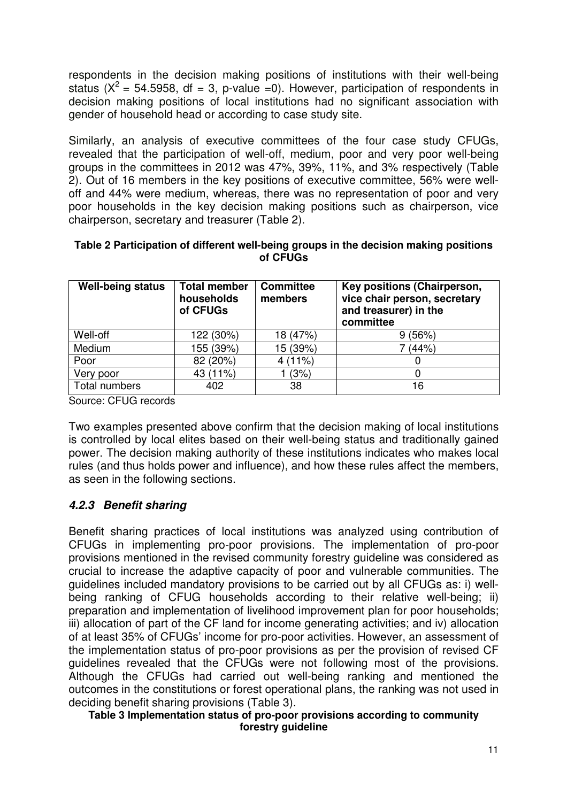respondents in the decision making positions of institutions with their well-being status ( $X^2$  = 54.5958, df = 3, p-value =0). However, participation of respondents in decision making positions of local institutions had no significant association with gender of household head or according to case study site.

Similarly, an analysis of executive committees of the four case study CFUGs, revealed that the participation of well-off, medium, poor and very poor well-being groups in the committees in 2012 was 47%, 39%, 11%, and 3% respectively (Table 2). Out of 16 members in the key positions of executive committee, 56% were welloff and 44% were medium, whereas, there was no representation of poor and very poor households in the key decision making positions such as chairperson, vice chairperson, secretary and treasurer (Table 2).

| <b>Well-being status</b> | <b>Total member</b><br>households<br>of CFUGs | <b>Committee</b><br>members | Key positions (Chairperson,<br>vice chair person, secretary<br>and treasurer) in the<br>committee |  |  |
|--------------------------|-----------------------------------------------|-----------------------------|---------------------------------------------------------------------------------------------------|--|--|
| Well-off                 | 122 (30%)                                     | 18 (47%)                    | 9(56%)                                                                                            |  |  |
| Medium                   | 155 (39%)                                     | 15 (39%)                    | 7 (44%)                                                                                           |  |  |
| Poor                     | 82 (20%)                                      | 4(11%)                      |                                                                                                   |  |  |
| Very poor                | 43 (11%)                                      | (3%)                        |                                                                                                   |  |  |
| Total numbers            | 402                                           | 38                          | 16                                                                                                |  |  |

#### **Table 2 Participation of different well-being groups in the decision making positions of CFUGs**

Source: CFUG records

Two examples presented above confirm that the decision making of local institutions is controlled by local elites based on their well-being status and traditionally gained power. The decision making authority of these institutions indicates who makes local rules (and thus holds power and influence), and how these rules affect the members, as seen in the following sections.

#### **4.2.3 Benefit sharing**

Benefit sharing practices of local institutions was analyzed using contribution of CFUGs in implementing pro-poor provisions. The implementation of pro-poor provisions mentioned in the revised community forestry guideline was considered as crucial to increase the adaptive capacity of poor and vulnerable communities. The guidelines included mandatory provisions to be carried out by all CFUGs as: i) wellbeing ranking of CFUG households according to their relative well-being; ii) preparation and implementation of livelihood improvement plan for poor households; iii) allocation of part of the CF land for income generating activities; and iv) allocation of at least 35% of CFUGs' income for pro-poor activities. However, an assessment of the implementation status of pro-poor provisions as per the provision of revised CF guidelines revealed that the CFUGs were not following most of the provisions. Although the CFUGs had carried out well-being ranking and mentioned the outcomes in the constitutions or forest operational plans, the ranking was not used in deciding benefit sharing provisions (Table 3).

#### **Table 3 Implementation status of pro-poor provisions according to community forestry guideline**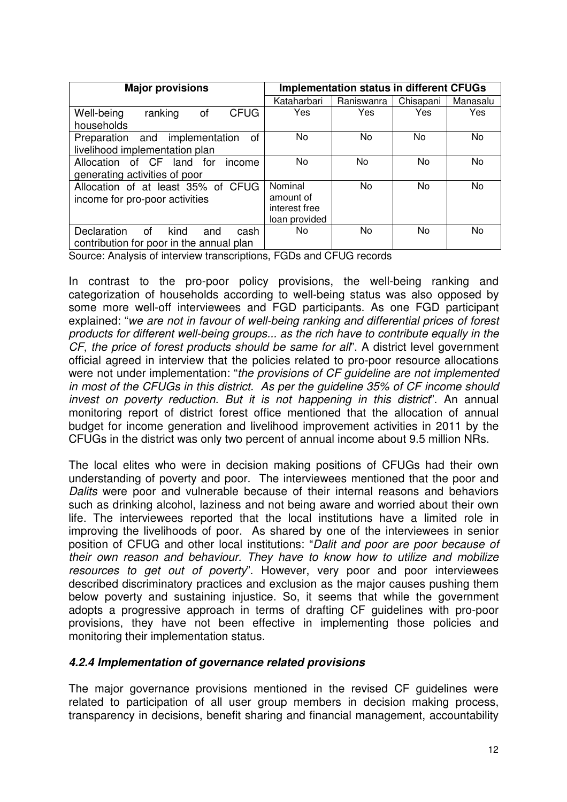| <b>Major provisions</b>                    | <b>Implementation status in different CFUGs</b> |            |           |          |  |
|--------------------------------------------|-------------------------------------------------|------------|-----------|----------|--|
|                                            | Kataharbari                                     | Raniswanra | Chisapani | Manasalu |  |
| <b>CFUG</b><br>Well-being<br>ranking<br>οf | Yes                                             | Yes        | Yes       | Yes      |  |
| households                                 |                                                 |            |           |          |  |
| Preparation and implementation<br>οf       | No.                                             | No.        | No        | No       |  |
| livelihood implementation plan             |                                                 |            |           |          |  |
| Allocation of CF land for<br>income        | No.                                             | No         | No.       | No       |  |
| generating activities of poor              |                                                 |            |           |          |  |
| Allocation of at least 35% of CFUG         | Nominal                                         | No         | No.       | No       |  |
| income for pro-poor activities             | amount of                                       |            |           |          |  |
|                                            | interest free                                   |            |           |          |  |
|                                            | loan provided                                   |            |           |          |  |
| kind<br>Declaration<br>of<br>cash<br>and   | No.                                             | No.        | No.       | No       |  |
| contribution for poor in the annual plan   |                                                 |            |           |          |  |

Source: Analysis of interview transcriptions, FGDs and CFUG records

In contrast to the pro-poor policy provisions, the well-being ranking and categorization of households according to well-being status was also opposed by some more well-off interviewees and FGD participants. As one FGD participant explained: "we are not in favour of well-being ranking and differential prices of forest products for different well-being groups... as the rich have to contribute equally in the CF, the price of forest products should be same for all". A district level government official agreed in interview that the policies related to pro-poor resource allocations were not under implementation: "the provisions of CF guideline are not implemented in most of the CFUGs in this district. As per the guideline 35% of CF income should invest on poverty reduction. But it is not happening in this district". An annual monitoring report of district forest office mentioned that the allocation of annual budget for income generation and livelihood improvement activities in 2011 by the CFUGs in the district was only two percent of annual income about 9.5 million NRs.

The local elites who were in decision making positions of CFUGs had their own understanding of poverty and poor. The interviewees mentioned that the poor and Dalits were poor and vulnerable because of their internal reasons and behaviors such as drinking alcohol, laziness and not being aware and worried about their own life. The interviewees reported that the local institutions have a limited role in improving the livelihoods of poor. As shared by one of the interviewees in senior position of CFUG and other local institutions: "Dalit and poor are poor because of their own reason and behaviour. They have to know how to utilize and mobilize resources to get out of poverty". However, very poor and poor interviewees described discriminatory practices and exclusion as the major causes pushing them below poverty and sustaining injustice. So, it seems that while the government adopts a progressive approach in terms of drafting CF guidelines with pro-poor provisions, they have not been effective in implementing those policies and monitoring their implementation status.

#### **4.2.4 Implementation of governance related provisions**

The major governance provisions mentioned in the revised CF guidelines were related to participation of all user group members in decision making process, transparency in decisions, benefit sharing and financial management, accountability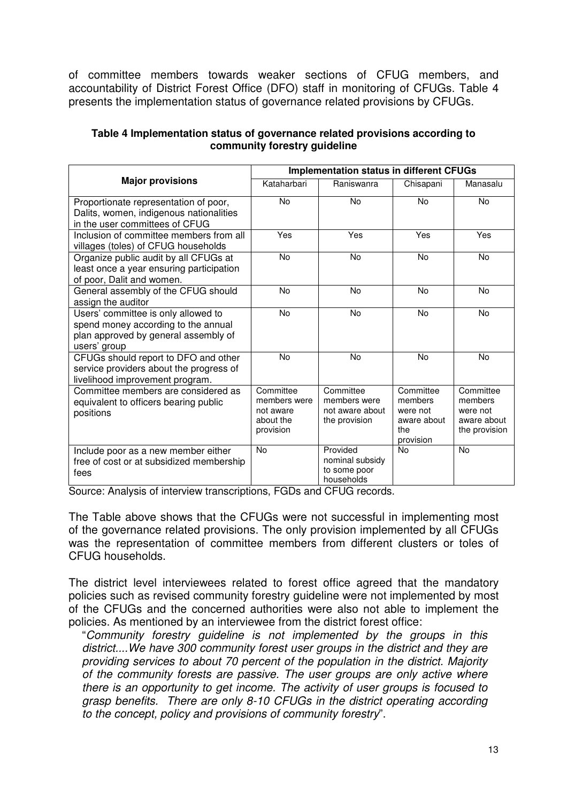of committee members towards weaker sections of CFUG members, and accountability of District Forest Office (DFO) staff in monitoring of CFUGs. Table 4 presents the implementation status of governance related provisions by CFUGs.

#### **Table 4 Implementation status of governance related provisions according to community forestry guideline**

|                                                                                                                                    | <b>Implementation status in different CFUGs</b>                  |                                                               |                                                                     |                                                                  |  |  |
|------------------------------------------------------------------------------------------------------------------------------------|------------------------------------------------------------------|---------------------------------------------------------------|---------------------------------------------------------------------|------------------------------------------------------------------|--|--|
| <b>Major provisions</b>                                                                                                            | Kataharbari<br>Raniswanra                                        |                                                               | Chisapani                                                           | Manasalu                                                         |  |  |
| Proportionate representation of poor,<br>Dalits, women, indigenous nationalities<br>in the user committees of CFUG                 | No                                                               | No                                                            | No                                                                  | <b>No</b>                                                        |  |  |
| Inclusion of committee members from all<br>villages (toles) of CFUG households                                                     | Yes                                                              | Yes                                                           | Yes                                                                 | Yes                                                              |  |  |
| Organize public audit by all CFUGs at<br>least once a year ensuring participation<br>of poor, Dalit and women.                     | No                                                               | No                                                            | <b>No</b>                                                           | <b>No</b>                                                        |  |  |
| General assembly of the CFUG should<br>assign the auditor                                                                          | No                                                               | No                                                            | No                                                                  | No                                                               |  |  |
| Users' committee is only allowed to<br>spend money according to the annual<br>plan approved by general assembly of<br>users' group | No                                                               | No                                                            | No                                                                  | <b>No</b>                                                        |  |  |
| CFUGs should report to DFO and other<br>service providers about the progress of<br>livelihood improvement program.                 | <b>No</b>                                                        | No                                                            | No                                                                  | <b>No</b>                                                        |  |  |
| Committee members are considered as<br>equivalent to officers bearing public<br>positions                                          | Committee<br>members were<br>not aware<br>about the<br>provision | Committee<br>members were<br>not aware about<br>the provision | Committee<br>members<br>were not<br>aware about<br>the<br>provision | Committee<br>members<br>were not<br>aware about<br>the provision |  |  |
| Include poor as a new member either<br>free of cost or at subsidized membership<br>fees                                            | <b>No</b>                                                        | Provided<br>nominal subsidy<br>to some poor<br>households     | <b>No</b>                                                           | <b>No</b>                                                        |  |  |

Source: Analysis of interview transcriptions, FGDs and CFUG records.

The Table above shows that the CFUGs were not successful in implementing most of the governance related provisions. The only provision implemented by all CFUGs was the representation of committee members from different clusters or toles of CFUG households.

The district level interviewees related to forest office agreed that the mandatory policies such as revised community forestry guideline were not implemented by most of the CFUGs and the concerned authorities were also not able to implement the policies. As mentioned by an interviewee from the district forest office:

"Community forestry guideline is not implemented by the groups in this district....We have 300 community forest user groups in the district and they are providing services to about 70 percent of the population in the district. Majority of the community forests are passive. The user groups are only active where there is an opportunity to get income. The activity of user groups is focused to grasp benefits. There are only 8-10 CFUGs in the district operating according to the concept, policy and provisions of community forestry".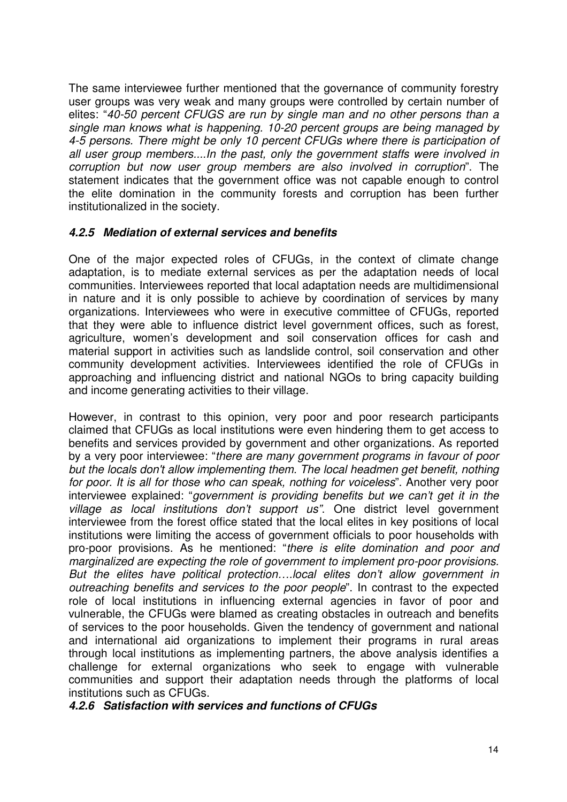The same interviewee further mentioned that the governance of community forestry user groups was very weak and many groups were controlled by certain number of elites: "40-50 percent CFUGS are run by single man and no other persons than a single man knows what is happening. 10-20 percent groups are being managed by 4-5 persons. There might be only 10 percent CFUGs where there is participation of all user group members....In the past, only the government staffs were involved in corruption but now user group members are also involved in corruption". The statement indicates that the government office was not capable enough to control the elite domination in the community forests and corruption has been further institutionalized in the society.

#### **4.2.5 Mediation of external services and benefits**

One of the major expected roles of CFUGs, in the context of climate change adaptation, is to mediate external services as per the adaptation needs of local communities. Interviewees reported that local adaptation needs are multidimensional in nature and it is only possible to achieve by coordination of services by many organizations. Interviewees who were in executive committee of CFUGs, reported that they were able to influence district level government offices, such as forest, agriculture, women's development and soil conservation offices for cash and material support in activities such as landslide control, soil conservation and other community development activities. Interviewees identified the role of CFUGs in approaching and influencing district and national NGOs to bring capacity building and income generating activities to their village.

However, in contrast to this opinion, very poor and poor research participants claimed that CFUGs as local institutions were even hindering them to get access to benefits and services provided by government and other organizations. As reported by a very poor interviewee: "there are many government programs in favour of poor but the locals don't allow implementing them. The local headmen get benefit, nothing for poor. It is all for those who can speak, nothing for voiceless". Another very poor interviewee explained: "government is providing benefits but we can't get it in the village as local institutions don't support us". One district level government interviewee from the forest office stated that the local elites in key positions of local institutions were limiting the access of government officials to poor households with pro-poor provisions. As he mentioned: "there is elite domination and poor and marginalized are expecting the role of government to implement pro-poor provisions. But the elites have political protection….local elites don't allow government in outreaching benefits and services to the poor people". In contrast to the expected role of local institutions in influencing external agencies in favor of poor and vulnerable, the CFUGs were blamed as creating obstacles in outreach and benefits of services to the poor households. Given the tendency of government and national and international aid organizations to implement their programs in rural areas through local institutions as implementing partners, the above analysis identifies a challenge for external organizations who seek to engage with vulnerable communities and support their adaptation needs through the platforms of local institutions such as CFUGs.

**4.2.6 Satisfaction with services and functions of CFUGs**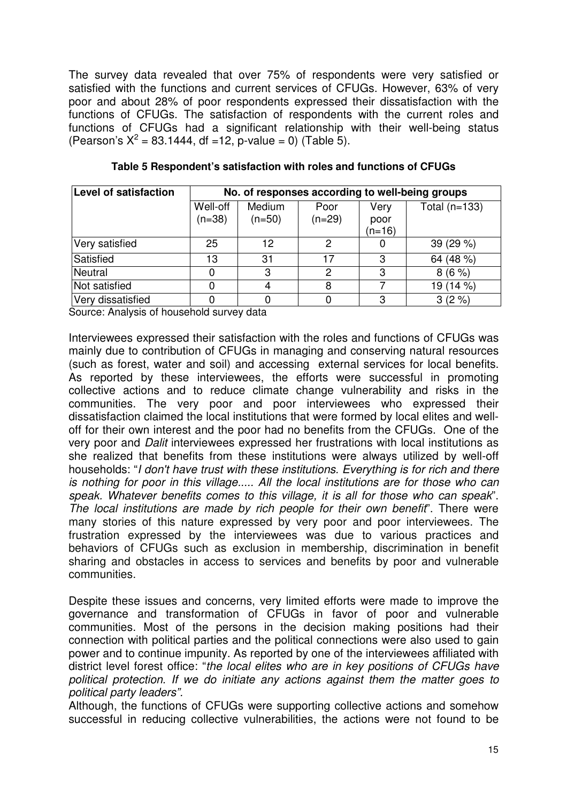The survey data revealed that over 75% of respondents were very satisfied or satisfied with the functions and current services of CFUGs. However, 63% of very poor and about 28% of poor respondents expressed their dissatisfaction with the functions of CFUGs. The satisfaction of respondents with the current roles and functions of CFUGs had a significant relationship with their well-being status (Pearson's  $X^2 = 83.1444$ , df =12, p-value = 0) (Table 5).

| Level of satisfaction | No. of responses according to well-being groups |          |          |                  |                 |  |
|-----------------------|-------------------------------------------------|----------|----------|------------------|-----------------|--|
|                       | Well-off                                        | Medium   | Poor     | Very             | Total $(n=133)$ |  |
|                       | $(n=38)$                                        | $(n=50)$ | $(n=29)$ | poor<br>$(n=16)$ |                 |  |
| Very satisfied        | 25                                              | 12       | 2        |                  | 39 (29 %)       |  |
| Satisfied             | 13                                              | 31       | 17       | 3                | 64 (48 %)       |  |
| Neutral               |                                                 | 3        | 2        | 3                | $8(6\%)$        |  |
| Not satisfied         |                                                 |          | 8        |                  | 19 (14 %)       |  |
| Very dissatisfied     |                                                 |          |          | 3                | $3(2\%)$        |  |

|  |  |  | Table 5 Respondent's satisfaction with roles and functions of CFUGs |  |
|--|--|--|---------------------------------------------------------------------|--|
|--|--|--|---------------------------------------------------------------------|--|

Source: Analysis of household survey data

Interviewees expressed their satisfaction with the roles and functions of CFUGs was mainly due to contribution of CFUGs in managing and conserving natural resources (such as forest, water and soil) and accessing external services for local benefits. As reported by these interviewees, the efforts were successful in promoting collective actions and to reduce climate change vulnerability and risks in the communities. The very poor and poor interviewees who expressed their dissatisfaction claimed the local institutions that were formed by local elites and welloff for their own interest and the poor had no benefits from the CFUGs. One of the very poor and Dalit interviewees expressed her frustrations with local institutions as she realized that benefits from these institutions were always utilized by well-off households: "I don't have trust with these institutions. Everything is for rich and there is nothing for poor in this village..... All the local institutions are for those who can speak. Whatever benefits comes to this village, it is all for those who can speak". The local institutions are made by rich people for their own benefit". There were many stories of this nature expressed by very poor and poor interviewees. The frustration expressed by the interviewees was due to various practices and behaviors of CFUGs such as exclusion in membership, discrimination in benefit sharing and obstacles in access to services and benefits by poor and vulnerable communities.

Despite these issues and concerns, very limited efforts were made to improve the governance and transformation of CFUGs in favor of poor and vulnerable communities. Most of the persons in the decision making positions had their connection with political parties and the political connections were also used to gain power and to continue impunity. As reported by one of the interviewees affiliated with district level forest office: "the local elites who are in key positions of CFUGs have political protection. If we do initiate any actions against them the matter goes to political party leaders".

Although, the functions of CFUGs were supporting collective actions and somehow successful in reducing collective vulnerabilities, the actions were not found to be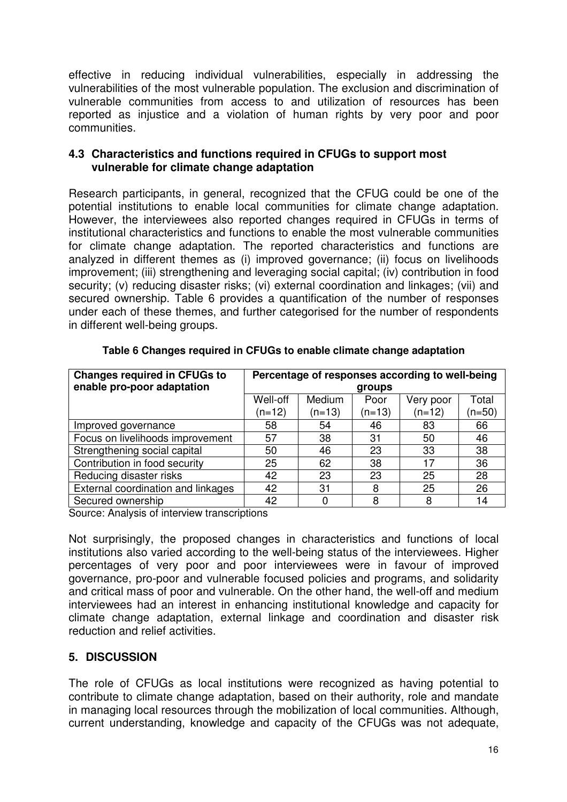effective in reducing individual vulnerabilities, especially in addressing the vulnerabilities of the most vulnerable population. The exclusion and discrimination of vulnerable communities from access to and utilization of resources has been reported as injustice and a violation of human rights by very poor and poor communities.

#### **4.3 Characteristics and functions required in CFUGs to support most vulnerable for climate change adaptation**

Research participants, in general, recognized that the CFUG could be one of the potential institutions to enable local communities for climate change adaptation. However, the interviewees also reported changes required in CFUGs in terms of institutional characteristics and functions to enable the most vulnerable communities for climate change adaptation. The reported characteristics and functions are analyzed in different themes as (i) improved governance; (ii) focus on livelihoods improvement; (iii) strengthening and leveraging social capital; (iv) contribution in food security; (v) reducing disaster risks; (vi) external coordination and linkages; (vii) and secured ownership. Table 6 provides a quantification of the number of responses under each of these themes, and further categorised for the number of respondents in different well-being groups.

| <b>Changes required in CFUGs to</b><br>enable pro-poor adaptation | Percentage of responses according to well-being<br>groups |                    |                  |                       |                   |
|-------------------------------------------------------------------|-----------------------------------------------------------|--------------------|------------------|-----------------------|-------------------|
|                                                                   | Well-off<br>(n=12)                                        | Medium<br>$(n=13)$ | Poor<br>$(n=13)$ | Very poor<br>$(n=12)$ | Total<br>$(n=50)$ |
| Improved governance                                               | 58                                                        | 54                 | 46               | 83                    | 66                |
| Focus on livelihoods improvement                                  | 57                                                        | 38                 | 31               | 50                    | 46                |
| Strengthening social capital                                      | 50                                                        | 46                 | 23               | 33                    | 38                |
| Contribution in food security                                     | 25                                                        | 62                 | 38               | 17                    | 36                |
| Reducing disaster risks                                           | 42                                                        | 23                 | 23               | 25                    | 28                |
| External coordination and linkages                                | 42                                                        | 31                 | 8                | 25                    | 26                |
| Secured ownership                                                 | 42                                                        |                    | 8                | 8                     | 14                |

#### **Table 6 Changes required in CFUGs to enable climate change adaptation**

Source: Analysis of interview transcriptions

Not surprisingly, the proposed changes in characteristics and functions of local institutions also varied according to the well-being status of the interviewees. Higher percentages of very poor and poor interviewees were in favour of improved governance, pro-poor and vulnerable focused policies and programs, and solidarity and critical mass of poor and vulnerable. On the other hand, the well-off and medium interviewees had an interest in enhancing institutional knowledge and capacity for climate change adaptation, external linkage and coordination and disaster risk reduction and relief activities.

## **5. DISCUSSION**

The role of CFUGs as local institutions were recognized as having potential to contribute to climate change adaptation, based on their authority, role and mandate in managing local resources through the mobilization of local communities. Although, current understanding, knowledge and capacity of the CFUGs was not adequate,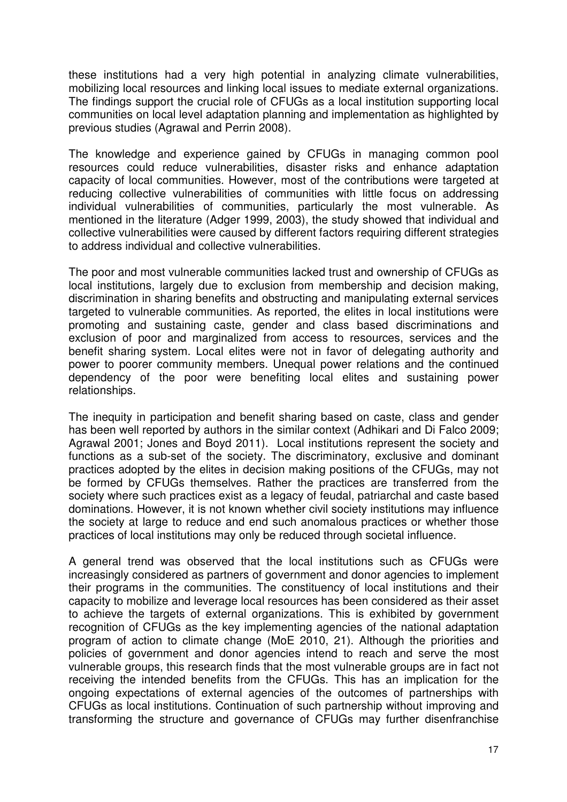these institutions had a very high potential in analyzing climate vulnerabilities, mobilizing local resources and linking local issues to mediate external organizations. The findings support the crucial role of CFUGs as a local institution supporting local communities on local level adaptation planning and implementation as highlighted by previous studies (Agrawal and Perrin 2008).

The knowledge and experience gained by CFUGs in managing common pool resources could reduce vulnerabilities, disaster risks and enhance adaptation capacity of local communities. However, most of the contributions were targeted at reducing collective vulnerabilities of communities with little focus on addressing individual vulnerabilities of communities, particularly the most vulnerable. As mentioned in the literature (Adger 1999, 2003), the study showed that individual and collective vulnerabilities were caused by different factors requiring different strategies to address individual and collective vulnerabilities.

The poor and most vulnerable communities lacked trust and ownership of CFUGs as local institutions, largely due to exclusion from membership and decision making, discrimination in sharing benefits and obstructing and manipulating external services targeted to vulnerable communities. As reported, the elites in local institutions were promoting and sustaining caste, gender and class based discriminations and exclusion of poor and marginalized from access to resources, services and the benefit sharing system. Local elites were not in favor of delegating authority and power to poorer community members. Unequal power relations and the continued dependency of the poor were benefiting local elites and sustaining power relationships.

The inequity in participation and benefit sharing based on caste, class and gender has been well reported by authors in the similar context (Adhikari and Di Falco 2009; Agrawal 2001; Jones and Boyd 2011). Local institutions represent the society and functions as a sub-set of the society. The discriminatory, exclusive and dominant practices adopted by the elites in decision making positions of the CFUGs, may not be formed by CFUGs themselves. Rather the practices are transferred from the society where such practices exist as a legacy of feudal, patriarchal and caste based dominations. However, it is not known whether civil society institutions may influence the society at large to reduce and end such anomalous practices or whether those practices of local institutions may only be reduced through societal influence.

A general trend was observed that the local institutions such as CFUGs were increasingly considered as partners of government and donor agencies to implement their programs in the communities. The constituency of local institutions and their capacity to mobilize and leverage local resources has been considered as their asset to achieve the targets of external organizations. This is exhibited by government recognition of CFUGs as the key implementing agencies of the national adaptation program of action to climate change (MoE 2010, 21). Although the priorities and policies of government and donor agencies intend to reach and serve the most vulnerable groups, this research finds that the most vulnerable groups are in fact not receiving the intended benefits from the CFUGs. This has an implication for the ongoing expectations of external agencies of the outcomes of partnerships with CFUGs as local institutions. Continuation of such partnership without improving and transforming the structure and governance of CFUGs may further disenfranchise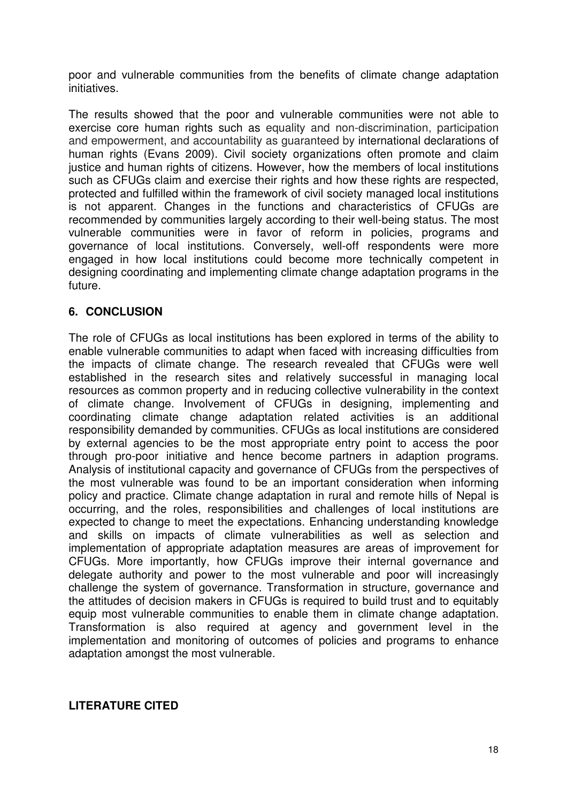poor and vulnerable communities from the benefits of climate change adaptation initiatives.

The results showed that the poor and vulnerable communities were not able to exercise core human rights such as equality and non-discrimination, participation and empowerment, and accountability as guaranteed by international declarations of human rights (Evans 2009). Civil society organizations often promote and claim justice and human rights of citizens. However, how the members of local institutions such as CFUGs claim and exercise their rights and how these rights are respected, protected and fulfilled within the framework of civil society managed local institutions is not apparent. Changes in the functions and characteristics of CFUGs are recommended by communities largely according to their well-being status. The most vulnerable communities were in favor of reform in policies, programs and governance of local institutions. Conversely, well-off respondents were more engaged in how local institutions could become more technically competent in designing coordinating and implementing climate change adaptation programs in the future.

#### **6. CONCLUSION**

The role of CFUGs as local institutions has been explored in terms of the ability to enable vulnerable communities to adapt when faced with increasing difficulties from the impacts of climate change. The research revealed that CFUGs were well established in the research sites and relatively successful in managing local resources as common property and in reducing collective vulnerability in the context of climate change. Involvement of CFUGs in designing, implementing and coordinating climate change adaptation related activities is an additional responsibility demanded by communities. CFUGs as local institutions are considered by external agencies to be the most appropriate entry point to access the poor through pro-poor initiative and hence become partners in adaption programs. Analysis of institutional capacity and governance of CFUGs from the perspectives of the most vulnerable was found to be an important consideration when informing policy and practice. Climate change adaptation in rural and remote hills of Nepal is occurring, and the roles, responsibilities and challenges of local institutions are expected to change to meet the expectations. Enhancing understanding knowledge and skills on impacts of climate vulnerabilities as well as selection and implementation of appropriate adaptation measures are areas of improvement for CFUGs. More importantly, how CFUGs improve their internal governance and delegate authority and power to the most vulnerable and poor will increasingly challenge the system of governance. Transformation in structure, governance and the attitudes of decision makers in CFUGs is required to build trust and to equitably equip most vulnerable communities to enable them in climate change adaptation. Transformation is also required at agency and government level in the implementation and monitoring of outcomes of policies and programs to enhance adaptation amongst the most vulnerable.

#### **LITERATURE CITED**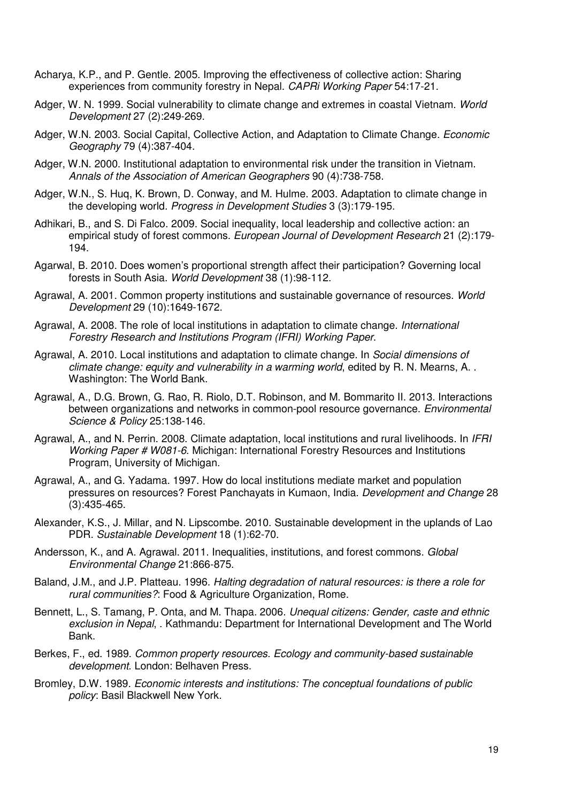- Acharya, K.P., and P. Gentle. 2005. Improving the effectiveness of collective action: Sharing experiences from community forestry in Nepal. CAPRi Working Paper 54:17-21.
- Adger, W. N. 1999. Social vulnerability to climate change and extremes in coastal Vietnam. World Development 27 (2):249-269.
- Adger, W.N. 2003. Social Capital, Collective Action, and Adaptation to Climate Change. Economic Geography 79 (4):387-404.
- Adger, W.N. 2000. Institutional adaptation to environmental risk under the transition in Vietnam. Annals of the Association of American Geographers 90 (4):738-758.
- Adger, W.N., S. Huq, K. Brown, D. Conway, and M. Hulme. 2003. Adaptation to climate change in the developing world. Progress in Development Studies 3 (3):179-195.
- Adhikari, B., and S. Di Falco. 2009. Social inequality, local leadership and collective action: an empirical study of forest commons. European Journal of Development Research 21 (2):179- 194.
- Agarwal, B. 2010. Does women's proportional strength affect their participation? Governing local forests in South Asia. World Development 38 (1):98-112.
- Agrawal, A. 2001. Common property institutions and sustainable governance of resources. World Development 29 (10):1649-1672.
- Agrawal, A. 2008. The role of local institutions in adaptation to climate change. International Forestry Research and Institutions Program (IFRI) Working Paper.
- Agrawal, A. 2010. Local institutions and adaptation to climate change. In Social dimensions of climate change: equity and vulnerability in a warming world, edited by R. N. Mearns, A.. Washington: The World Bank.
- Agrawal, A., D.G. Brown, G. Rao, R. Riolo, D.T. Robinson, and M. Bommarito II. 2013. Interactions between organizations and networks in common-pool resource governance. Environmental Science & Policy 25:138-146.
- Agrawal, A., and N. Perrin. 2008. Climate adaptation, local institutions and rural livelihoods. In IFRI Working Paper # W081-6. Michigan: International Forestry Resources and Institutions Program, University of Michigan.
- Agrawal, A., and G. Yadama. 1997. How do local institutions mediate market and population pressures on resources? Forest Panchayats in Kumaon, India. Development and Change 28 (3):435-465.
- Alexander, K.S., J. Millar, and N. Lipscombe. 2010. Sustainable development in the uplands of Lao PDR. Sustainable Development 18 (1):62-70.
- Andersson, K., and A. Agrawal. 2011. Inequalities, institutions, and forest commons. Global Environmental Change 21:866-875.
- Baland, J.M., and J.P. Platteau. 1996. Halting degradation of natural resources: is there a role for rural communities?: Food & Agriculture Organization, Rome.
- Bennett, L., S. Tamang, P. Onta, and M. Thapa. 2006. Unequal citizens: Gender, caste and ethnic exclusion in Nepal, . Kathmandu: Department for International Development and The World Bank.
- Berkes, F., ed. 1989. Common property resources. Ecology and community-based sustainable development. London: Belhaven Press.
- Bromley, D.W. 1989. Economic interests and institutions: The conceptual foundations of public policy: Basil Blackwell New York.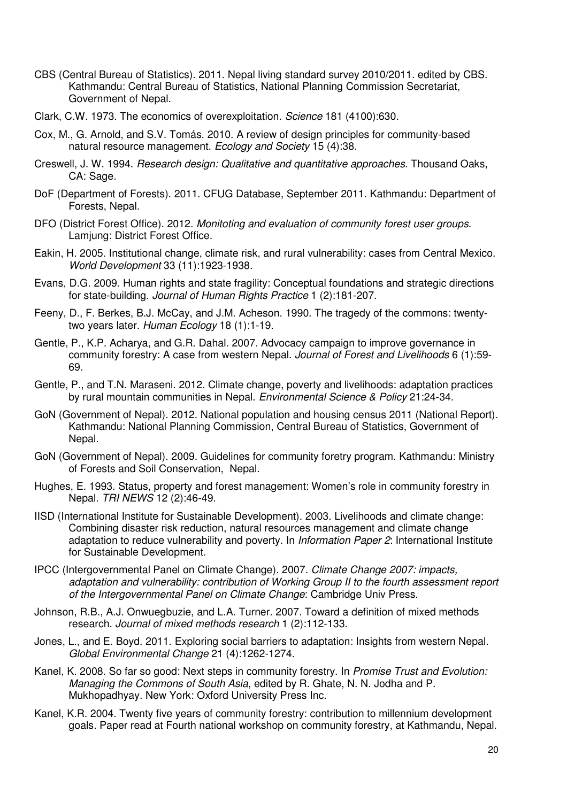- CBS (Central Bureau of Statistics). 2011. Nepal living standard survey 2010/2011. edited by CBS. Kathmandu: Central Bureau of Statistics, National Planning Commission Secretariat, Government of Nepal.
- Clark, C.W. 1973. The economics of overexploitation. Science 181 (4100):630.
- Cox, M., G. Arnold, and S.V. Tomás. 2010. A review of design principles for community-based natural resource management. Ecology and Society 15 (4):38.
- Creswell, J. W. 1994. Research design: Qualitative and quantitative approaches. Thousand Oaks, CA: Sage.
- DoF (Department of Forests). 2011. CFUG Database, September 2011. Kathmandu: Department of Forests, Nepal.
- DFO (District Forest Office). 2012. Monitoting and evaluation of community forest user groups. Lamjung: District Forest Office.
- Eakin, H. 2005. Institutional change, climate risk, and rural vulnerability: cases from Central Mexico. World Development 33 (11):1923-1938.
- Evans, D.G. 2009. Human rights and state fragility: Conceptual foundations and strategic directions for state-building. Journal of Human Rights Practice 1 (2):181-207.
- Feeny, D., F. Berkes, B.J. McCay, and J.M. Acheson. 1990. The tragedy of the commons: twentytwo years later. Human Ecology 18 (1):1-19.
- Gentle, P., K.P. Acharya, and G.R. Dahal. 2007. Advocacy campaign to improve governance in community forestry: A case from western Nepal. Journal of Forest and Livelihoods 6 (1):59- 69.
- Gentle, P., and T.N. Maraseni. 2012. Climate change, poverty and livelihoods: adaptation practices by rural mountain communities in Nepal. Environmental Science & Policy 21:24-34.
- GoN (Government of Nepal). 2012. National population and housing census 2011 (National Report). Kathmandu: National Planning Commission, Central Bureau of Statistics, Government of Nepal.
- GoN (Government of Nepal). 2009. Guidelines for community foretry program. Kathmandu: Ministry of Forests and Soil Conservation, Nepal.
- Hughes, E. 1993. Status, property and forest management: Women's role in community forestry in Nepal. TRI NEWS 12 (2):46-49.
- IISD (International Institute for Sustainable Development). 2003. Livelihoods and climate change: Combining disaster risk reduction, natural resources management and climate change adaptation to reduce vulnerability and poverty. In Information Paper 2: International Institute for Sustainable Development.
- IPCC (Intergovernmental Panel on Climate Change). 2007. Climate Change 2007: impacts, adaptation and vulnerability: contribution of Working Group II to the fourth assessment report of the Intergovernmental Panel on Climate Change: Cambridge Univ Press.
- Johnson, R.B., A.J. Onwuegbuzie, and L.A. Turner. 2007. Toward a definition of mixed methods research. Journal of mixed methods research 1 (2):112-133.
- Jones, L., and E. Boyd. 2011. Exploring social barriers to adaptation: Insights from western Nepal. Global Environmental Change 21 (4):1262-1274.
- Kanel, K. 2008. So far so good: Next steps in community forestry. In Promise Trust and Evolution: Managing the Commons of South Asia, edited by R. Ghate, N. N. Jodha and P. Mukhopadhyay. New York: Oxford University Press Inc.
- Kanel, K.R. 2004. Twenty five years of community forestry: contribution to millennium development goals. Paper read at Fourth national workshop on community forestry, at Kathmandu, Nepal.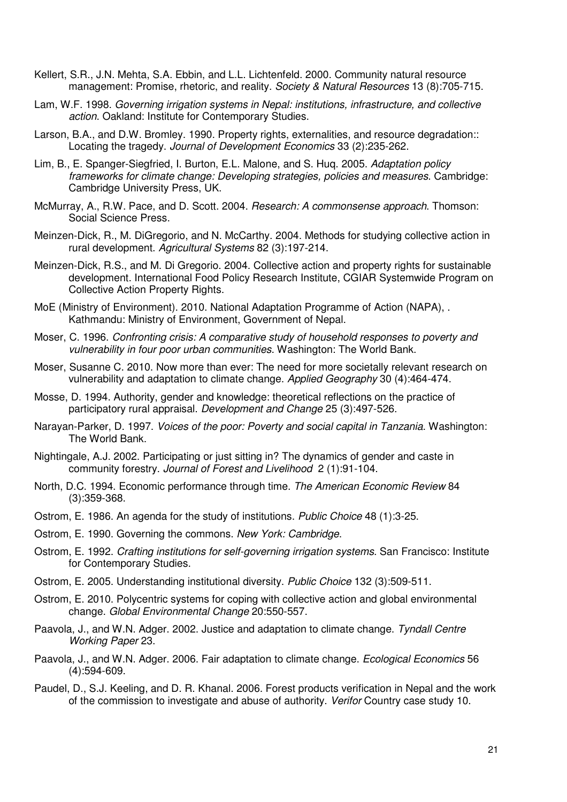- Kellert, S.R., J.N. Mehta, S.A. Ebbin, and L.L. Lichtenfeld. 2000. Community natural resource management: Promise, rhetoric, and reality. Society & Natural Resources 13 (8):705-715.
- Lam, W.F. 1998. Governing irrigation systems in Nepal: institutions, infrastructure, and collective action. Oakland: Institute for Contemporary Studies.
- Larson, B.A., and D.W. Bromley. 1990. Property rights, externalities, and resource degradation:: Locating the tragedy. Journal of Development Economics 33 (2):235-262.
- Lim, B., E. Spanger-Siegfried, I. Burton, E.L. Malone, and S. Huq. 2005. Adaptation policy frameworks for climate change: Developing strategies, policies and measures. Cambridge: Cambridge University Press, UK.
- McMurray, A., R.W. Pace, and D. Scott. 2004. Research: A commonsense approach. Thomson: Social Science Press.
- Meinzen-Dick, R., M. DiGregorio, and N. McCarthy. 2004. Methods for studying collective action in rural development. Agricultural Systems 82 (3):197-214.
- Meinzen-Dick, R.S., and M. Di Gregorio. 2004. Collective action and property rights for sustainable development. International Food Policy Research Institute, CGIAR Systemwide Program on Collective Action Property Rights.
- MoE (Ministry of Environment). 2010. National Adaptation Programme of Action (NAPA), . Kathmandu: Ministry of Environment, Government of Nepal.
- Moser, C. 1996. Confronting crisis: A comparative study of household responses to poverty and vulnerability in four poor urban communities. Washington: The World Bank.
- Moser, Susanne C. 2010. Now more than ever: The need for more societally relevant research on vulnerability and adaptation to climate change. Applied Geography 30 (4):464-474.
- Mosse, D. 1994. Authority, gender and knowledge: theoretical reflections on the practice of participatory rural appraisal. Development and Change 25 (3):497-526.
- Narayan-Parker, D. 1997. Voices of the poor: Poverty and social capital in Tanzania. Washington: The World Bank.
- Nightingale, A.J. 2002. Participating or just sitting in? The dynamics of gender and caste in community forestry. Journal of Forest and Livelihood 2 (1):91-104.
- North, D.C. 1994. Economic performance through time. The American Economic Review 84 (3):359-368.
- Ostrom, E. 1986. An agenda for the study of institutions. Public Choice 48 (1):3-25.
- Ostrom, E. 1990. Governing the commons. New York: Cambridge.
- Ostrom, E. 1992. Crafting institutions for self-governing irrigation systems. San Francisco: Institute for Contemporary Studies.
- Ostrom, E. 2005. Understanding institutional diversity. Public Choice 132 (3):509-511.
- Ostrom, E. 2010. Polycentric systems for coping with collective action and global environmental change. Global Environmental Change 20:550-557.
- Paavola, J., and W.N. Adger. 2002. Justice and adaptation to climate change. Tyndall Centre Working Paper 23.
- Paavola, J., and W.N. Adger. 2006. Fair adaptation to climate change. Ecological Economics 56 (4):594-609.
- Paudel, D., S.J. Keeling, and D. R. Khanal. 2006. Forest products verification in Nepal and the work of the commission to investigate and abuse of authority. Verifor Country case study 10.